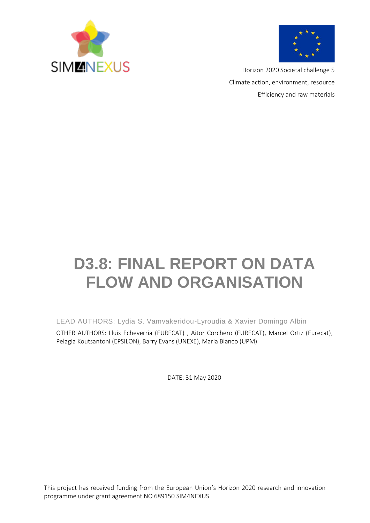



Horizon 2020 Societal challenge 5 Climate action, environment, resource Efficiency and raw materials

# **D3.8: FINAL REPORT ON DATA FLOW AND ORGANISATION**

LEAD AUTHORS: Lydia S. Vamvakeridou-Lyroudia & Xavier Domingo Albin

OTHER AUTHORS: Lluis Echeverria (EURECAT) , Aitor Corchero (EURECAT), Marcel Ortiz (Eurecat), Pelagia Koutsantoni (EPSILON), Barry Evans (UNEXE), Maria Blanco (UPM)

DATE: 31 May 2020

This project has received funding from the European Union's Horizon 2020 research and innovation programme under grant agreement NO 689150 SIM4NEXUS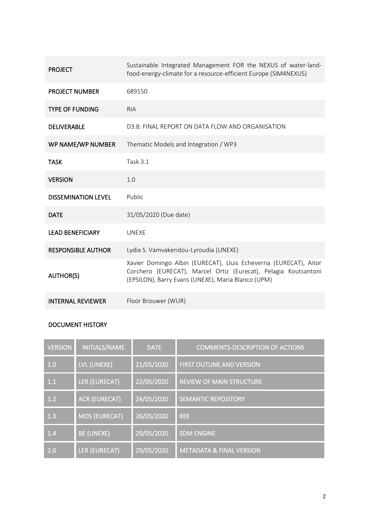| <b>PROJECT</b>             | Sustainable Integrated Management FOR the NEXUS of water-land-<br>food-energy-climate for a resource-efficient Europe (SIM4NEXUS)                                                          |
|----------------------------|--------------------------------------------------------------------------------------------------------------------------------------------------------------------------------------------|
| <b>PROJECT NUMBER</b>      | 689150                                                                                                                                                                                     |
| <b>TYPE OF FUNDING</b>     | <b>RIA</b>                                                                                                                                                                                 |
| <b>DELIVERABLE</b>         | D3.8: FINAL REPORT ON DATA FLOW AND ORGANISATION                                                                                                                                           |
| WP NAME/WP NUMBER          | Thematic Models and Integration / WP3                                                                                                                                                      |
| <b>TASK</b>                | <b>Task 3.1</b>                                                                                                                                                                            |
| <b>VERSION</b>             | 1.0                                                                                                                                                                                        |
| <b>DISSEMINATION LEVEL</b> | <b>Public</b>                                                                                                                                                                              |
| <b>DATE</b>                | 31/05/2020 (Due date)                                                                                                                                                                      |
| <b>LEAD BENEFICIARY</b>    | <b>UNEXE</b>                                                                                                                                                                               |
| <b>RESPONSIBLE AUTHOR</b>  | Lydia S. Vamvakeridou-Lyroudia (UNEXE)                                                                                                                                                     |
| <b>AUTHOR(S)</b>           | Xavier Domingo Albin (EURECAT), Lluis Echeverria (EURECAT), Aitor<br>Corchero (EURECAT), Marcel Ortiz (Eurecat), Pelagia Koutsantoni<br>(EPSILON), Barry Evans (UNEXE), Maria Blanco (UPM) |
| <b>INTERNAL REVIEWER</b>   | Floor Brouwer (WUR)                                                                                                                                                                        |

### DOCUMENT HISTORY

| <b>VERSION</b> | INITIALS/NAME        | <b>DATE</b> | <b>COMMENTS-DESCRIPTION OF ACTIONS</b> |
|----------------|----------------------|-------------|----------------------------------------|
| 1.0            | LVL (UNEXE)          | 21/05/2020  | <b>FIRST OUTLINE AND VERSION</b>       |
| 1.1            | LER (EURECAT)        | 22/05/2020  | <b>REVIEW OF MAIN STRUCTURE</b>        |
| 1.2            | <b>ACR (EURECAT)</b> | 24/05/2020  | <b>SEMANTIC REPOSITORY</b>             |
| 1.3            | <b>MOS (EURECAT)</b> | 26/05/2020  | <b>KEE</b>                             |
| 1.4            | <b>BE (UNEXE)</b>    | 29/05/2020  | <b>SDM ENGINE</b>                      |
| 2.0            | <b>LER (EURECAT)</b> | 29/05/2020  | <b>METADATA &amp; FINAL VERSION</b>    |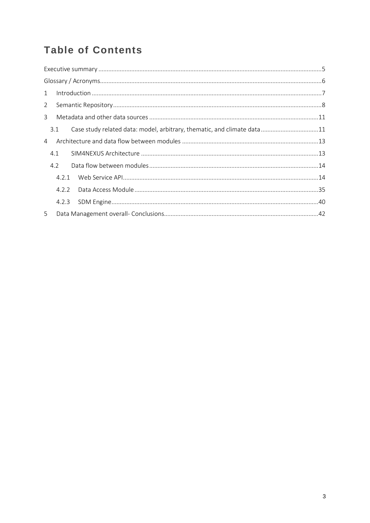## **Table of Contents**

| 1              |       |                                                                         |  |
|----------------|-------|-------------------------------------------------------------------------|--|
| $2^{\circ}$    |       |                                                                         |  |
| $\mathbf{3}$   |       |                                                                         |  |
|                | 3.1   | Case study related data: model, arbitrary, thematic, and climate data11 |  |
| $\overline{4}$ |       |                                                                         |  |
|                | 4.1   |                                                                         |  |
|                | 4.2   |                                                                         |  |
|                | 4.2.1 |                                                                         |  |
|                | 4.2.2 |                                                                         |  |
|                | 4.2.3 |                                                                         |  |
| 5              |       |                                                                         |  |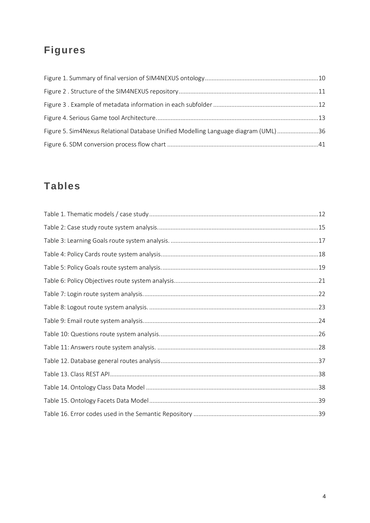## **Figures**

| Figure 5. Sim4Nexus Relational Database Unified Modelling Language diagram (UML) 36 |  |
|-------------------------------------------------------------------------------------|--|
|                                                                                     |  |

## **Tables**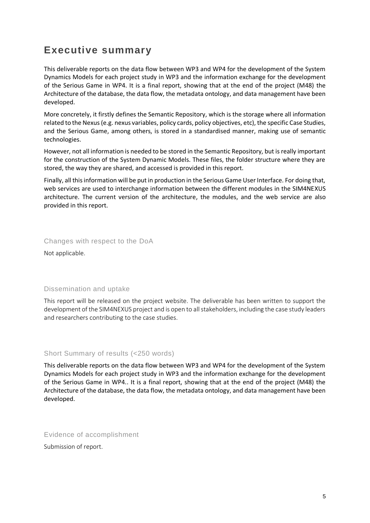## <span id="page-4-0"></span>**Executive summary**

This deliverable reports on the data flow between WP3 and WP4 for the development of the System Dynamics Models for each project study in WP3 and the information exchange for the development of the Serious Game in WP4. It is a final report, showing that at the end of the project (M48) the Architecture of the database, the data flow, the metadata ontology, and data management have been developed.

More concretely, it firstly defines the Semantic Repository, which is the storage where all information related to the Nexus(e.g. nexus variables, policy cards, policy objectives, etc), the specific Case Studies, and the Serious Game, among others, is stored in a standardised manner, making use of semantic technologies.

However, not all information is needed to be stored in the Semantic Repository, but is really important for the construction of the System Dynamic Models. These files, the folder structure where they are stored, the way they are shared, and accessed is provided in this report.

Finally, all this information will be put in production in the Serious Game User Interface. For doing that, web services are used to interchange information between the different modules in the SIM4NEXUS architecture. The current version of the architecture, the modules, and the web service are also provided in this report.

#### Changes with respect to the DoA

Not applicable.

#### Dissemination and uptake

This report will be released on the project website. The deliverable has been written to support the development of the SIM4NEXUS project and is open to all stakeholders, including the case study leaders and researchers contributing to the case studies.

#### Short Summary of results (<250 words)

This deliverable reports on the data flow between WP3 and WP4 for the development of the System Dynamics Models for each project study in WP3 and the information exchange for the development of the Serious Game in WP4.. It is a final report, showing that at the end of the project (M48) the Architecture of the database, the data flow, the metadata ontology, and data management have been developed.

Evidence of accomplishment

Submission of report.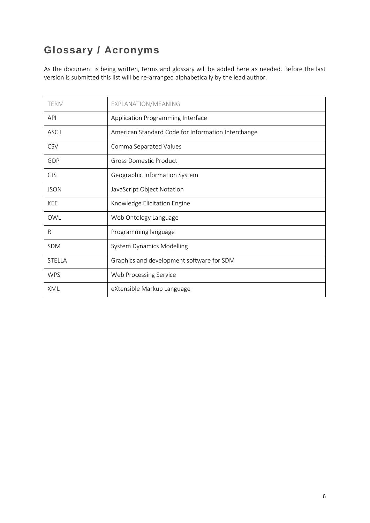## <span id="page-5-0"></span>**Glossary / Acronyms**

As the document is being written, terms and glossary will be added here as needed. Before the last version is submitted this list will be re-arranged alphabetically by the lead author.

| <b>TERM</b>   | EXPLANATION/MEANING                                |
|---------------|----------------------------------------------------|
| <b>API</b>    | Application Programming Interface                  |
| <b>ASCII</b>  | American Standard Code for Information Interchange |
| CSV           | Comma Separated Values                             |
| GDP           | <b>Gross Domestic Product</b>                      |
| GIS           | Geographic Information System                      |
| <b>JSON</b>   | JavaScript Object Notation                         |
| KEE           | Knowledge Elicitation Engine                       |
| OWL           | Web Ontology Language                              |
| R             | Programming language                               |
| <b>SDM</b>    | <b>System Dynamics Modelling</b>                   |
| <b>STELLA</b> | Graphics and development software for SDM          |
| <b>WPS</b>    | Web Processing Service                             |
| XML           | eXtensible Markup Language                         |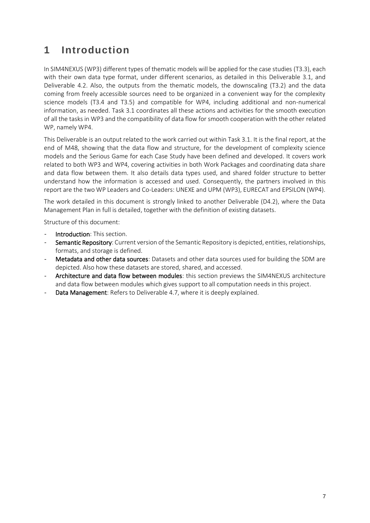## <span id="page-6-0"></span>**1 Introduction**

In SIM4NEXUS (WP3) different types of thematic models will be applied for the case studies (T3.3), each with their own data type format, under different scenarios, as detailed in this Deliverable 3.1, and Deliverable 4.2. Also, the outputs from the thematic models, the downscaling (T3.2) and the data coming from freely accessible sources need to be organized in a convenient way for the complexity science models (T3.4 and T3.5) and compatible for WP4, including additional and non-numerical information, as needed. Task 3.1 coordinates all these actions and activities for the smooth execution of all the tasks in WP3 and the compatibility of data flow for smooth cooperation with the other related WP, namely WP4.

This Deliverable is an output related to the work carried out within Task 3.1. It is the final report, at the end of M48, showing that the data flow and structure, for the development of complexity science models and the Serious Game for each Case Study have been defined and developed. It covers work related to both WP3 and WP4, covering activities in both Work Packages and coordinating data share and data flow between them. It also details data types used, and shared folder structure to better understand how the information is accessed and used. Consequently, the partners involved in this report are the two WP Leaders and Co-Leaders: UNEXE and UPM (WP3), EURECAT and EPSILON (WP4).

The work detailed in this document is strongly linked to another Deliverable (D4.2), where the Data Management Plan in full is detailed, together with the definition of existing datasets.

Structure of this document:

- Introduction: This section.
- Semantic Repository: Current version of the Semantic Repository is depicted, entities, relationships, formats, and storage is defined.
- Metadata and other data sources: Datasets and other data sources used for building the SDM are depicted. Also how these datasets are stored, shared, and accessed.
- Architecture and data flow between modules: this section previews the SIM4NEXUS architecture and data flow between modules which gives support to all computation needs in this project.
- Data Management: Refers to Deliverable 4.7, where it is deeply explained.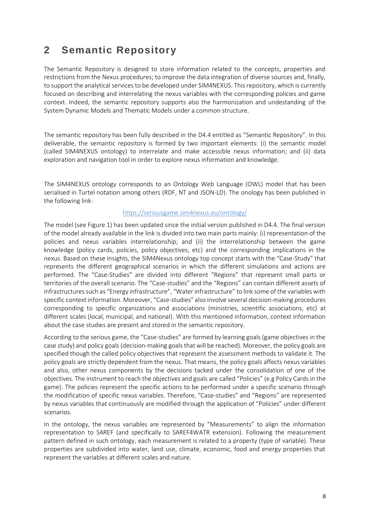## <span id="page-7-0"></span>**2 Semantic Repository**

The Semantic Repository is designed to store information related to the concepts, properties and restrictions from the Nexus procedures; to improve the data integration of diverse sources and, finally, to support the analytical services to be developed under SIM4NEXUS. This repository, which is currently focused on describing and interrelating the nexus variables with the corresponding policies and game context. Indeed, the semantic repository supports also the harmonization and undestanding of the System Dynamic Models and Thematic Models under a common structure.

The semantic repository has been fully described in the D4.4 entitled as "Semantic Repository". In this deliverable, the semantic repository is formed by two important elements: (i) the semantic model (called SIM4NEXUS ontology) to interrelate and make accessible nexus information; and (ii) data exploration and navigation tool in order to explore nexus information and knowledge.

The SIM4NEXUS ontology corresponds to an Ontology Web Language (OWL) model that has been serialised in Turtel notation among others (RDF, NT and JSON-LD). The onology has been published in the following link:

#### <https://seriousgame.sim4nexus.eu/ontology/>

The model (see [Figure 1\)](#page-9-0) has been updated since the initial version published in D4.4. The final version of the model already available in the link is divided into two main parts mainly: (i) representation of the policies and nexus variables interrelationship; and (ii) the interrelationship between the game knowledge (policy cards, policies, policy objectives, etc) and the corresponding implications in the nexus. Based on these insights, the SIM4Nexus ontology top concept starts with the "Case-Study" that represents the different geographical scenarios in which the different simulations and actions are performed. The "Case-Studies" are divided into different "Regions" that represent small parts or territories of the overall scenario. The "Case-studies" and the "Regions" can contain different assets of infrastructures such as "Energy infrastructure", "Water infrastructure" to link some of the variables with specific context information. Moreover, "Case-studies" also involve several decision-making procedures corresponding to specific organizations and associations (ministries, scientific associations, etc) at different scales (local, municipal, and national). With this mentioned information, context information about the case studies are present and stored in the semantic repository.

According to the serious game, the "Case-studies" are formed by learning goals (game objectives in the case study) and policy goals (decision-making goals that will be reached). Moreover, the policy goals are specified though the called policy objectives that represent the assessment methods to validate it. The policy goals are strictly dependent from the nexus. That means, the policy goals affects nexus variables and also, other nexus components by the decisions tacked under the consolidation of one of the objectives. The instrument to reach the objectives and goals are called "Policies" (e.g Policy Cards in the game). The policies represent the specific actions to be performed under a specific scenario through the modification of specific nexus variables. Therefore, "Case-studies" and "Regions" are represented by nexus variables that continuously are modified through the application of "Policies" under different scenarios.

In the ontology, the nexus variables are represented by "Measurements" to align the information representation to SAREF (and specifically to SAREF4WATR extension). Following the measurement pattern defined in such ontology, each measurement is related to a property (type of variable). These properties are subdivided into water, land use, climate, economic, food and energy properties that represent the variables at different scales and nature.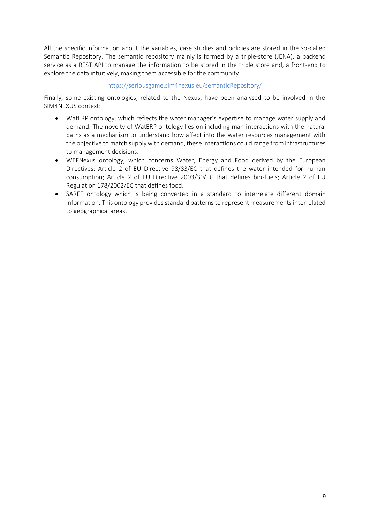All the specific information about the variables, case studies and policies are stored in the so-called Semantic Repository. The semantic repository mainly is formed by a triple-store (JENA), a backend service as a REST API to manage the information to be stored in the triple store and, a front-end to explore the data intuitively, making them accessible for the community:

#### <https://seriousgame.sim4nexus.eu/semanticRepository/>

Finally, some existing ontologies, related to the Nexus, have been analysed to be involved in the SIM4NEXUS context:

- WatERP ontology, which reflects the water manager's expertise to manage water supply and demand. The novelty of WatERP ontology lies on including man interactions with the natural paths as a mechanism to understand how affect into the water resources management with the objective to match supply with demand, these interactions could range from infrastructures to management decisions.
- WEFNexus ontology, which concerns Water, Energy and Food derived by the European Directives: Article 2 of EU Directive 98/83/EC that defines the water intended for human consumption; Article 2 of EU Directive 2003/30/EC that defines bio-fuels; Article 2 of EU Regulation 178/2002/EC that defines food.
- SAREF ontology which is being converted in a standard to interrelate different domain information. This ontology provides standard patterns to represent measurements interrelated to geographical areas.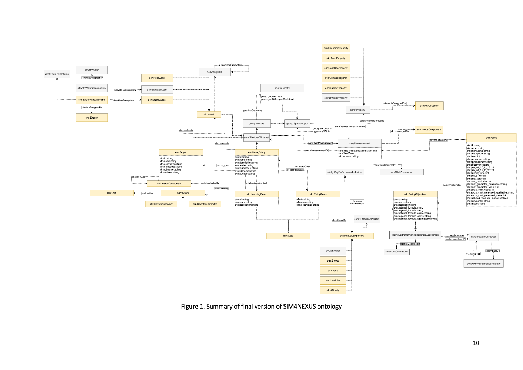

<span id="page-9-0"></span>Figure 1. Summary of final version of SIM4NEXUS ontology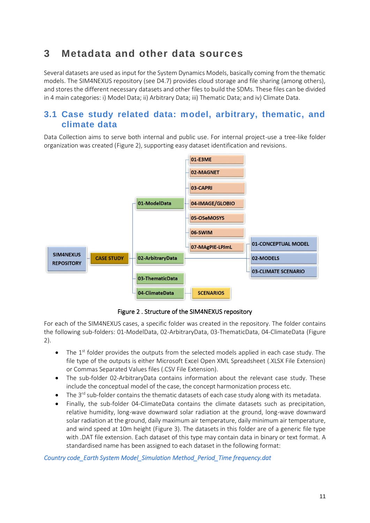## <span id="page-10-0"></span>**3 Metadata and other data sources**

Several datasets are used as input for the System Dynamics Models, basically coming from the thematic models. The SIM4NEXUS repository (see D4.7) provides cloud storage and file sharing (among others), and stores the different necessary datasets and other files to build the SDMs. These files can be divided in 4 main categories: i) Model Data; ii) Arbitrary Data; iii) Thematic Data; and iv) Climate Data.

### <span id="page-10-1"></span>**3.1 Case study related data: model, arbitrary, thematic, and climate data**

Data Collection aims to serve both internal and public use. For internal project-use a tree-like folder organization was created [\(Figure 2\)](#page-10-2), supporting easy dataset identification and revisions.



Figure 2 . Structure of the SIM4NEXUS repository

<span id="page-10-2"></span>For each of the SIM4NEXUS cases, a specific folder was created in the repository. The folder contains the following sub-folders: 01-ModelData, 02-ArbitraryData, 03-ThematicData, 04-ClimateData [\(Figure](#page-10-2)  [2\)](#page-10-2).

- The  $1<sup>st</sup>$  folder provides the outputs from the selected models applied in each case study. The file type of the outputs is either Microsoft Excel Open XML Spreadsheet (.XLSX File Extension) or Commas Separated Values files (.CSV File Extension).
- The sub-folder 02-ArbitraryData contains information about the relevant case study. These include the conceptual model of the case, the concept harmonization process etc.
- $\bullet$  The 3<sup>rd</sup> sub-folder contains the thematic datasets of each case study along with its metadata.
- Finally, the sub-folder 04-ClimateData contains the climate datasets such as precipitation, relative humidity, long-wave downward solar radiation at the ground, long-wave downward solar radiation at the ground, daily maximum air temperature, daily minimum air temperature, and wind speed at 10m height [\(Figure 3\)](#page-11-0). The datasets in this folder are of a generic file type with .DAT file extension. Each dataset of this type may contain data in binary or text format. A standardised name has been assigned to each dataset in the following format:

*Country code\_Earth System Model\_Simulation Method\_Period\_Time frequency.dat*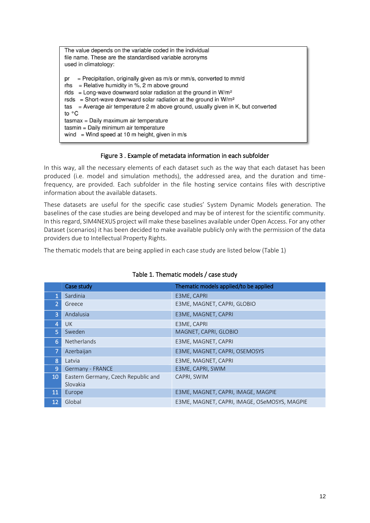| The value depends on the variable coded in the individual                                                                                                                                                                                                                                                                                                                                                                                                                                                                           |
|-------------------------------------------------------------------------------------------------------------------------------------------------------------------------------------------------------------------------------------------------------------------------------------------------------------------------------------------------------------------------------------------------------------------------------------------------------------------------------------------------------------------------------------|
| file name. These are the standardised variable acronyms                                                                                                                                                                                                                                                                                                                                                                                                                                                                             |
| used in climatology:                                                                                                                                                                                                                                                                                                                                                                                                                                                                                                                |
| = Precipitation, originally given as $m/s$ or $mm/s$ , converted to $mm/d$<br>pr<br>$=$ Relative humidity in %, 2 m above ground<br>rhs<br>rlds = Long-wave downward solar radiation at the ground in $W/m^2$<br>rsds = Short-wave downward solar radiation at the ground in $W/m^2$<br>tas $=$ Average air temperature 2 m above ground, usually given in K, but converted<br>to $\circ$ C<br>tasmax = Daily maximum air temperature<br>tasmin = Daily minimum air temperature<br>wind = Wind speed at 10 m height, given in $m/s$ |
|                                                                                                                                                                                                                                                                                                                                                                                                                                                                                                                                     |

#### Figure 3 . Example of metadata information in each subfolder

<span id="page-11-0"></span>In this way, all the necessary elements of each dataset such as the way that each dataset has been produced (i.e. model and simulation methods), the addressed area, and the duration and timefrequency, are provided. Each subfolder in the file hosting service contains files with descriptive information about the available datasets.

These datasets are useful for the specific case studies' System Dynamic Models generation. The baselines of the case studies are being developed and may be of interest for the scientific community. In this regard, SIM4NEXUS project will make these baselines available under Open Access. For any other Dataset (scenarios) it has been decided to make available publicly only with the permission of the data providers due to Intellectual Property Rights.

The thematic models that are being applied in each case study are listed below [\(Table 1\)](#page-11-1)

<span id="page-11-1"></span>

|                | Case study                          | Thematic models applied/to be applied        |
|----------------|-------------------------------------|----------------------------------------------|
|                | Sardinia                            | E3ME, CAPRI                                  |
| 2              | Greece                              | E3ME, MAGNET, CAPRI, GLOBIO                  |
| 3              | Andalusia                           | E3ME, MAGNET, CAPRI                          |
| 4              | <b>UK</b>                           | E3ME, CAPRI                                  |
| 5              | Sweden                              | MAGNET, CAPRI, GLOBIO                        |
| 6              | Netherlands                         | E3ME, MAGNET, CAPRI                          |
| 7              | Azerbaijan                          | E3ME, MAGNET, CAPRI, OSEMOSYS                |
| 8              | Latvia                              | E3ME, MAGNET, CAPRI                          |
| $\overline{9}$ | Germany - FRANCE                    | E3ME, CAPRI, SWIM                            |
| 10             | Eastern Germany, Czech Republic and | CAPRI, SWIM                                  |
|                | Slovakia                            |                                              |
| 11             | Europe                              | E3ME, MAGNET, CAPRI, IMAGE, MAGPIE           |
| 12             | Global                              | E3ME, MAGNET, CAPRI, IMAGE, OSeMOSYS, MAGPIE |

#### Table 1. Thematic models / case study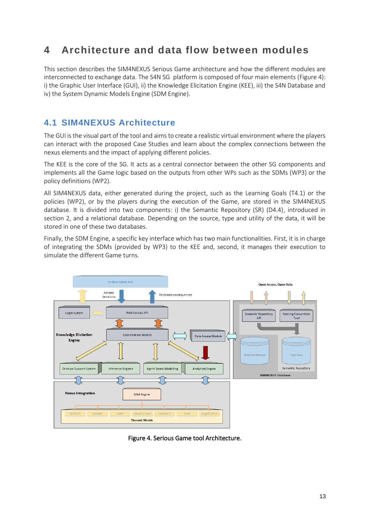## <span id="page-12-0"></span>**4 Architecture and data flow between modules**

This section describes the SIM4NEXUS Serious Game architecture and how the different modules are interconnected to exchange data. The S4N SG platform is composed of four main elements [\(Figure 4\)](#page-12-2): i) the Graphic User Interface (GUI), ii) the Knowledge Elicitation Engine (KEE), iii) the S4N Database and iv) the System Dynamic Models Engine (SDM Engine).

## <span id="page-12-1"></span>**4.1 SIM4NEXUS Architecture**

The GUI is the visual part of the tool and aims to create a realistic virtual environment where the players can interact with the proposed Case Studies and learn about the complex connections between the nexus elements and the impact of applying different policies.

The KEE is the core of the SG. It acts as a central connector between the other SG components and implements all the Game logic based on the outputs from other WPs such as the SDMs (WP3) or the policy definitions (WP2).

All SIM4NEXUS data, either generated during the project, such as the Learning Goals (T4.1) or the policies (WP2), or by the players during the execution of the Game, are stored in the SIM4NEXUS database. It is divided into two components: i) the Semantic Repository (SR) (D4.4), introduced in section 2, and a relational database. Depending on the source, type and utility of the data, it will be stored in one of these two databases.

Finally, the SDM Engine, a specific key interface which has two main functionalities. First, it is in charge of integrating the SDMs (provided by WP3) to the KEE and, second, it manages their execution to simulate the different Game turns.



<span id="page-12-2"></span>Figure 4. Serious Game tool Architecture.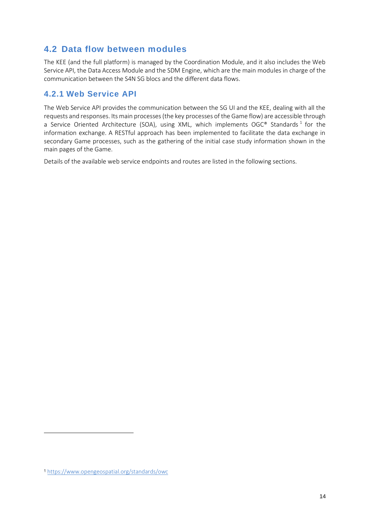## <span id="page-13-0"></span>**4.2 Data flow between modules**

The KEE (and the full platform) is managed by the Coordination Module, and it also includes the Web Service API, the Data Access Module and the SDM Engine, which are the main modules in charge of the communication between the S4N SG blocs and the different data flows.

### <span id="page-13-1"></span>**4.2.1 Web Service API**

The Web Service API provides the communication between the SG UI and the KEE, dealing with all the requests and responses. Its main processes (the key processes of the Game flow) are accessible through a Service Oriented Architecture (SOA), using XML, which implements OGC<sup>®</sup> Standards<sup>1</sup> for the information exchange. A RESTful approach has been implemented to facilitate the data exchange in secondary Game processes, such as the gathering of the initial case study information shown in the main pages of the Game.

Details of the available web service endpoints and routes are listed in the following sections.

<sup>1</sup> <https://www.opengeospatial.org/standards/owc>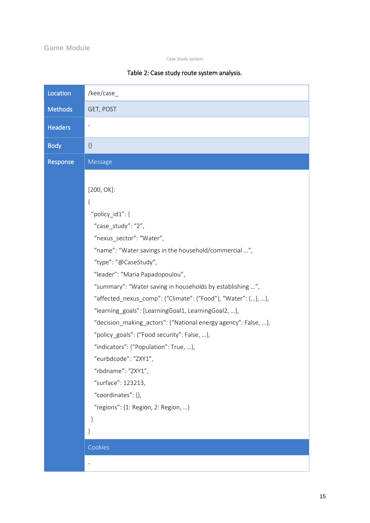### Game Module

Case Study system

### Table 2: Case study route system analysis.

| Location       | /kee/case_                                                                                                            |
|----------------|-----------------------------------------------------------------------------------------------------------------------|
| <b>Methods</b> | GET, POST                                                                                                             |
| <b>Headers</b> | $\overline{\phantom{m}}$                                                                                              |
| <b>Body</b>    | $\{\}$                                                                                                                |
| Response       | Message                                                                                                               |
|                |                                                                                                                       |
|                | $[200, OK]$ :                                                                                                         |
|                | $\{$                                                                                                                  |
|                | "policy_id1": $\{$                                                                                                    |
|                | "case_study": "2",                                                                                                    |
|                | "nexus_sector": "Water",                                                                                              |
|                | "name": "Water savings in the household/commercial ",                                                                 |
|                | "type": "@CaseStudy",                                                                                                 |
|                | "leader": "Maria Papadopoulou",                                                                                       |
|                | "summary": "Water saving in households by establishing ",                                                             |
|                | "affected_nexus_comp": {"Climate": {"Food"}, "Water": {}, },                                                          |
|                | "learning_goals": [LearningGoal1, LearningGoal2, ],<br>"decision_making_actors": {"National energy agency": False, }, |
|                | "policy_goals": {"Food security": False, },                                                                           |
|                | "indicators": {"Population": True, },                                                                                 |
|                | "eurbdcode": "ZXY1",                                                                                                  |
|                | "rbdname": "ZXY1",                                                                                                    |
|                | "surface": 123213,                                                                                                    |
|                | "coordinates": {},                                                                                                    |
|                | "regions": $\{1:$ Region, 2: Region, }                                                                                |
|                | }                                                                                                                     |
|                | }                                                                                                                     |
|                | Cookies                                                                                                               |
|                |                                                                                                                       |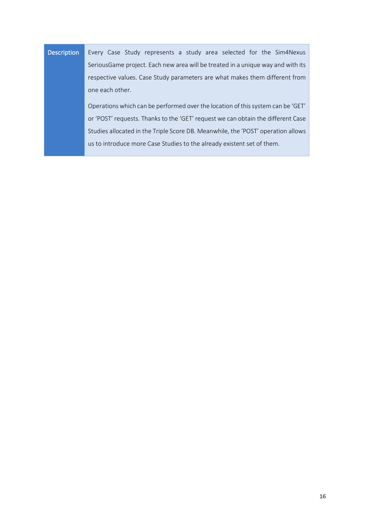## Description Every Case Study represents a study area selected for the Sim4Nexus SeriousGame project. Each new area will be treated in a unique way and with its respective values. Case Study parameters are what makes them different from one each other.

Operations which can be performed over the location of this system can be 'GET' or 'POST' requests. Thanks to the 'GET' request we can obtain the different Case Studies allocated in the Triple Score DB. Meanwhile, the 'POST' operation allows us to introduce more Case Studies to the already existent set of them.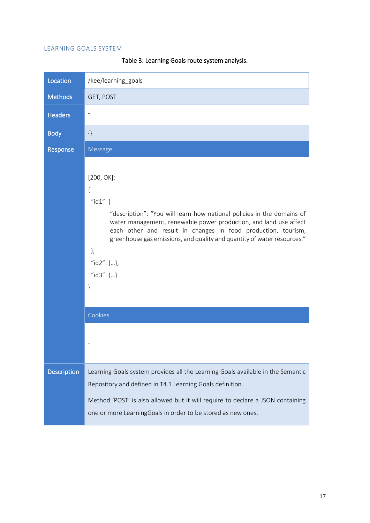#### LEARNING GOALS SYSTEM

| Location           | /kee/learning goals                                                                                                                                                                                                                                                                                                                                                              |
|--------------------|----------------------------------------------------------------------------------------------------------------------------------------------------------------------------------------------------------------------------------------------------------------------------------------------------------------------------------------------------------------------------------|
| <b>Methods</b>     | GET, POST                                                                                                                                                                                                                                                                                                                                                                        |
| <b>Headers</b>     | $\overline{\phantom{0}}$                                                                                                                                                                                                                                                                                                                                                         |
| <b>Body</b>        | $\{\}$                                                                                                                                                                                                                                                                                                                                                                           |
| Response           | <b>Message</b>                                                                                                                                                                                                                                                                                                                                                                   |
|                    | $[200, OK]$ :<br>{<br>" $id1"$ : {<br>"description": "You will learn how national policies in the domains of<br>water management, renewable power production, and land use affect<br>each other and result in changes in food production, tourism,<br>greenhouse gas emissions, and quality and quantity of water resources."<br>$\}$<br>" $id2$ ": {},<br>" $id3$ ": {}<br>$\}$ |
|                    | Cookies                                                                                                                                                                                                                                                                                                                                                                          |
|                    |                                                                                                                                                                                                                                                                                                                                                                                  |
| <b>Description</b> | Learning Goals system provides all the Learning Goals available in the Semantic<br>Repository and defined in T4.1 Learning Goals definition.<br>Method 'POST' is also allowed but it will require to declare a JSON containing<br>one or more LearningGoals in order to be stored as new ones.                                                                                   |

Table 3: Learning Goals route system analysis.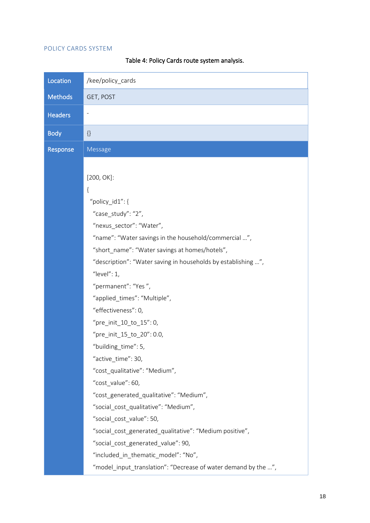#### POLICY CARDS SYSTEM

Location /kee/policy cards Methods GET, POST **Headers** - Body {} Response | Message [200, OK]: { "policy\_id1": { "case\_study": "2", "nexus\_sector": "Water", "name": "Water savings in the household/commercial …", "short\_name": "Water savings at homes/hotels", "description": "Water saving in households by establishing …", "level": 1, "permanent": "Yes ", "applied\_times": "Multiple", "effectiveness": 0, "pre\_init\_10\_to\_15": 0, "pre init  $15$  to  $20"$ : 0.0, "building\_time": 5, "active\_time": 30, "cost\_qualitative": "Medium", "cost\_value": 60, "cost\_generated\_qualitative": "Medium", "social cost qualitative": "Medium", "social\_cost\_value": 50, "social\_cost\_generated\_qualitative": "Medium positive", "social\_cost\_generated\_value": 90, "included\_in\_thematic\_model": "No", "model input translation": "Decrease of water demand by the ...",

Table 4: Policy Cards route system analysis.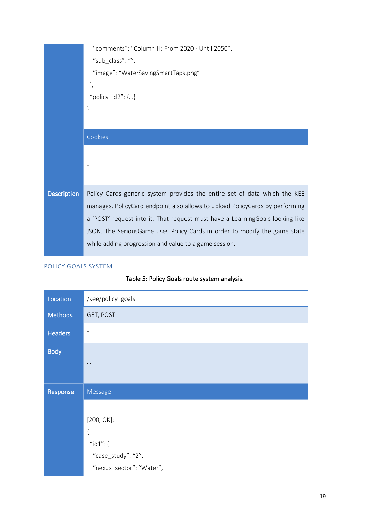|                    | "comments": "Column H: From 2020 - Until 2050",                               |
|--------------------|-------------------------------------------------------------------------------|
|                    | "sub_class": "",                                                              |
|                    | "image": "WaterSavingSmartTaps.png"                                           |
|                    | },                                                                            |
|                    | "policy_id2": $\{\}$                                                          |
|                    | }                                                                             |
|                    |                                                                               |
|                    | Cookies                                                                       |
|                    |                                                                               |
|                    |                                                                               |
|                    |                                                                               |
| <b>Description</b> | Policy Cards generic system provides the entire set of data which the KEE     |
|                    | manages. PolicyCard endpoint also allows to upload PolicyCards by performing  |
|                    | a 'POST' request into it. That request must have a LearningGoals looking like |
|                    | JSON. The SeriousGame uses Policy Cards in order to modify the game state     |
|                    | while adding progression and value to a game session.                         |
|                    |                                                                               |

#### POLICY GOALS SYSTEM

## Table 5: Policy Goals route system analysis.

| Location       | /kee/policy_goals        |
|----------------|--------------------------|
| <b>Methods</b> | GET, POST                |
| <b>Headers</b> | $\overline{\phantom{a}}$ |
| <b>Body</b>    | $\{\}$                   |
|                |                          |
| Response       | Message                  |
|                |                          |
|                | $[200, OK]$ :            |
|                | $\{$                     |
|                | " $id1"$ : {             |
|                | "case_study": "2",       |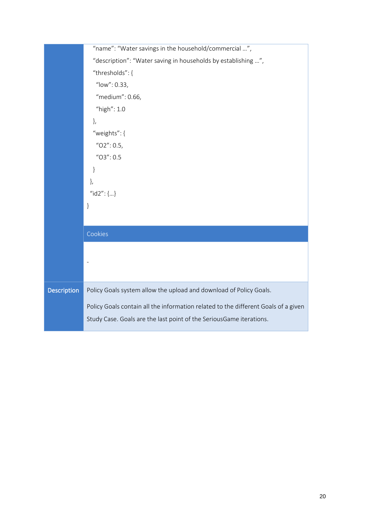|                    | "name": "Water savings in the household/commercial ",                              |  |  |
|--------------------|------------------------------------------------------------------------------------|--|--|
|                    | "description": "Water saving in households by establishing ",                      |  |  |
|                    | "thresholds": {                                                                    |  |  |
|                    | "low": 0.33,                                                                       |  |  |
|                    | "medium": 0.66,                                                                    |  |  |
|                    | "high": 1.0                                                                        |  |  |
|                    | },                                                                                 |  |  |
|                    | "weights": {                                                                       |  |  |
|                    | " $O2$ ": 0.5,                                                                     |  |  |
|                    | $^{\prime\prime}$ O3": 0.5                                                         |  |  |
|                    | $\}$                                                                               |  |  |
|                    | },                                                                                 |  |  |
|                    | " $id2$ ": {}                                                                      |  |  |
|                    | }                                                                                  |  |  |
|                    |                                                                                    |  |  |
|                    | Cookies                                                                            |  |  |
|                    |                                                                                    |  |  |
|                    |                                                                                    |  |  |
|                    |                                                                                    |  |  |
|                    |                                                                                    |  |  |
| <b>Description</b> | Policy Goals system allow the upload and download of Policy Goals.                 |  |  |
|                    | Policy Goals contain all the information related to the different Goals of a given |  |  |
|                    | Study Case. Goals are the last point of the SeriousGame iterations.                |  |  |
|                    |                                                                                    |  |  |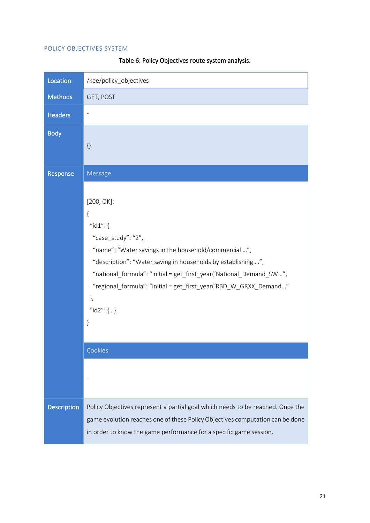#### POLICY OBJECTIVES SYSTEM

| Location           | /kee/policy_objectives                                                                                                                                                                                                                                                                                                                                     |
|--------------------|------------------------------------------------------------------------------------------------------------------------------------------------------------------------------------------------------------------------------------------------------------------------------------------------------------------------------------------------------------|
| <b>Methods</b>     | GET, POST                                                                                                                                                                                                                                                                                                                                                  |
| <b>Headers</b>     |                                                                                                                                                                                                                                                                                                                                                            |
| <b>Body</b>        | $\{\}$                                                                                                                                                                                                                                                                                                                                                     |
| Response           | Message                                                                                                                                                                                                                                                                                                                                                    |
|                    | $[200, OK]$ :<br>{<br>" $id1"$ : {<br>"case_study": "2",<br>"name": "Water savings in the household/commercial ",<br>"description": "Water saving in households by establishing ",<br>"national_formula": "initial = get_first_year('National_Demand_SW",<br>"regional_formula": "initial = get_first_year('RBD_W_GRXX_Demand"<br>},<br>" $id2$ ": {}<br>} |
|                    | Cookies                                                                                                                                                                                                                                                                                                                                                    |
|                    |                                                                                                                                                                                                                                                                                                                                                            |
| <b>Description</b> | Policy Objectives represent a partial goal which needs to be reached. Once the<br>game evolution reaches one of these Policy Objectives computation can be done<br>in order to know the game performance for a specific game session.                                                                                                                      |

Table 6: Policy Objectives route system analysis.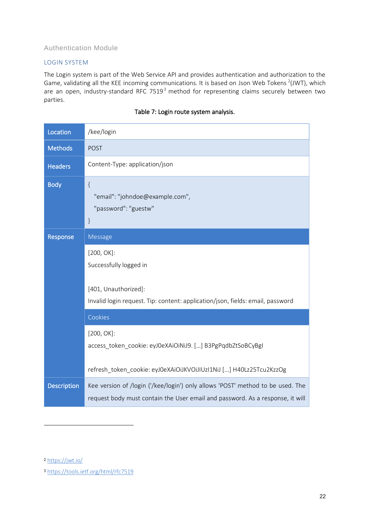### Authentication Module

#### LOGIN SYSTEM

The Login system is part of the Web Service API and provides authentication and authorization to the Game, validating all the KEE incoming communications. It is based on Json Web Tokens  $2($ JWT), which are an open, industry-standard RFC 7519<sup>3</sup> method for representing claims securely between two parties.

| Location           | /kee/login                                                                                                                                                      |  |
|--------------------|-----------------------------------------------------------------------------------------------------------------------------------------------------------------|--|
| <b>Methods</b>     | <b>POST</b>                                                                                                                                                     |  |
| <b>Headers</b>     | Content-Type: application/json                                                                                                                                  |  |
| <b>Body</b>        | $\{$<br>"email": "johndoe@example.com",<br>"password": "guestw"<br>$\}$                                                                                         |  |
| Response           | Message                                                                                                                                                         |  |
|                    | $[200, OK]$ :<br>Successfully logged in                                                                                                                         |  |
|                    | [401, Unauthorized]:                                                                                                                                            |  |
|                    | Invalid login request. Tip: content: application/json, fields: email, password                                                                                  |  |
|                    | Cookies                                                                                                                                                         |  |
|                    | $[200, OK]$ :<br>access_token_cookie: eyJ0eXAiOiNiJ9. [] B3PgPqdbZtSoBCyBgI                                                                                     |  |
|                    | refresh_token_cookie: eyJ0eXAiOiJKVOiJIUzI1NiJ [] H40Lz25Tcu2KzzOg                                                                                              |  |
| <b>Description</b> | Kee version of /login ('/kee/login') only allows 'POST' method to be used. The<br>request body must contain the User email and password. As a response, it will |  |

#### Table 7: Login route system analysis.

<sup>2</sup> <https://jwt.io/>

<sup>3</sup> <https://tools.ietf.org/html/rfc7519>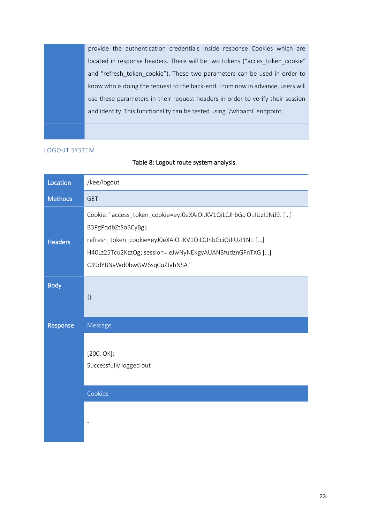provide the authentication credentials inside response Cookies which are located in response headers. There will be two tokens ("acces\_token\_cookie" and "refresh token cookie"). These two parameters can be used in order to know who is doing the request to the back-end. From now in advance, users will use these parameters in their request headers in order to verify their session and identity. This functionality can be tested using '/whoami' endpoint.

#### LOGOUT SYSTEM

#### Table 8: Logout route system analysis.

| Location       | /kee/logout                                                                                                                                                                                                                                             |  |
|----------------|---------------------------------------------------------------------------------------------------------------------------------------------------------------------------------------------------------------------------------------------------------|--|
| <b>Methods</b> | <b>GET</b>                                                                                                                                                                                                                                              |  |
| <b>Headers</b> | Cookie: "access_token_cookie=eyJ0eXAiOiJKV1QiLCJhbGciOiJIUzI1NiJ9. []<br>B3PgPqdbZtSoBCyBgI;<br>refresh_token_cookie=eyJ0eXAiOiJKV1QiLCJhbGciOiJIUzI1NiJ []<br>H40Lz25Tcu2KzzOg; session=.eJwNyNEKgyAUANBfudznGFnTXG []<br>C39dYBNaWd0bwGW6sqCuZJahNSA" |  |
| <b>Body</b>    | $\{\}$                                                                                                                                                                                                                                                  |  |
| Response       | Message                                                                                                                                                                                                                                                 |  |
|                | $[200, OK]$ :<br>Successfully logged out                                                                                                                                                                                                                |  |
|                | Cookies                                                                                                                                                                                                                                                 |  |
|                |                                                                                                                                                                                                                                                         |  |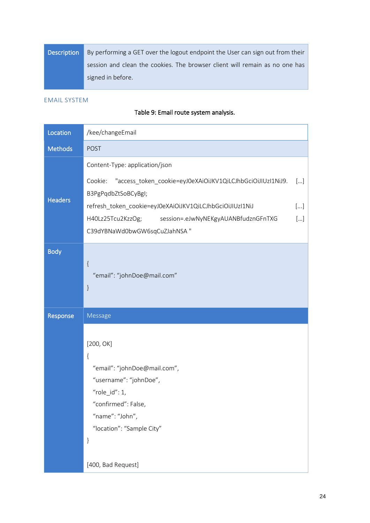| <b>Description</b> | By performing a GET over the logout endpoint the User can sign out from their |  |  |
|--------------------|-------------------------------------------------------------------------------|--|--|
|                    | session and clean the cookies. The browser client will remain as no one has   |  |  |
|                    | signed in before.                                                             |  |  |

#### EMAIL SYSTEM

### Table 9: Email route system analysis.

| Location       | /kee/changeEmail                                                                                                                                                                                                                                                                       |                  |  |
|----------------|----------------------------------------------------------------------------------------------------------------------------------------------------------------------------------------------------------------------------------------------------------------------------------------|------------------|--|
| <b>Methods</b> | <b>POST</b>                                                                                                                                                                                                                                                                            |                  |  |
| <b>Headers</b> | Content-Type: application/json<br>"access_token_cookie=eyJ0eXAiOiJKV1QiLCJhbGciOiJIUzI1NiJ9.<br>Cookie:<br>B3PgPqdbZtSoBCyBgI;<br>refresh_token_cookie=eyJ0eXAiOiJKV1QiLCJhbGciOiJIUzI1NiJ<br>H40Lz25Tcu2KzzOg;<br>session=.eJwNyNEKgyAUANBfudznGFnTXG<br>C39dYBNaWd0bwGW6sqCuZJahNSA" | []<br>[]<br>$[]$ |  |
| <b>Body</b>    | $\{$<br>"email": "johnDoe@mail.com"<br>$\}$                                                                                                                                                                                                                                            |                  |  |
|                |                                                                                                                                                                                                                                                                                        |                  |  |
| Response       | Message                                                                                                                                                                                                                                                                                |                  |  |
|                | [200, OK]<br>{<br>"email": "johnDoe@mail.com",<br>"username": "johnDoe",<br>"role_id": $1$ ,<br>'confirmed": False,<br>"name": "John",<br>"location": "Sample City"<br>$\}$                                                                                                            |                  |  |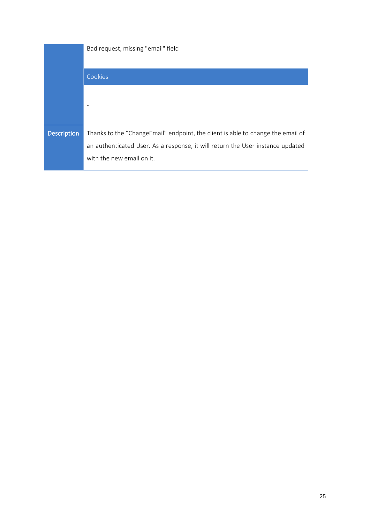|                    | Bad request, missing "email" field                                              |
|--------------------|---------------------------------------------------------------------------------|
|                    | Cookies                                                                         |
|                    |                                                                                 |
|                    |                                                                                 |
|                    |                                                                                 |
| <b>Description</b> | Thanks to the "ChangeEmail" endpoint, the client is able to change the email of |
|                    | an authenticated User. As a response, it will return the User instance updated  |
|                    | with the new email on it.                                                       |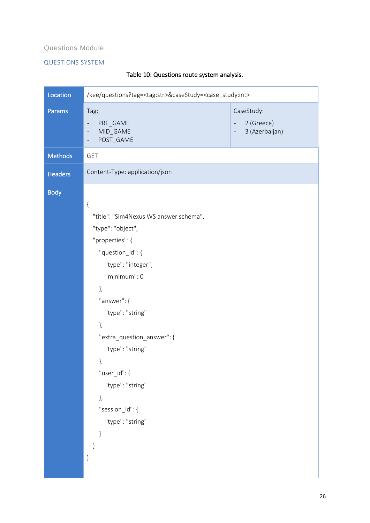#### Questions Module

#### QUESTIONS SYSTEM

| Location       | /kee/questions?tag= <tag:str>&amp;caseStudy=<case_study:int></case_study:int></tag:str>                                                                                                                                                                                                                                                                          |                                                                            |
|----------------|------------------------------------------------------------------------------------------------------------------------------------------------------------------------------------------------------------------------------------------------------------------------------------------------------------------------------------------------------------------|----------------------------------------------------------------------------|
| Params         | Tag:<br>PRE_GAME<br>MID_GAME<br>$\qquad \qquad \blacksquare$<br>POST_GAME<br>$\qquad \qquad -$                                                                                                                                                                                                                                                                   | CaseStudy:<br>2 (Greece)<br>3 (Azerbaijan)<br>$\qquad \qquad \blacksquare$ |
| <b>Methods</b> | <b>GET</b>                                                                                                                                                                                                                                                                                                                                                       |                                                                            |
| <b>Headers</b> | Content-Type: application/json                                                                                                                                                                                                                                                                                                                                   |                                                                            |
| <b>Body</b>    | $\{$<br>"title": "Sim4Nexus WS answer schema",<br>"type": "object",<br>"properties": {<br>"question_id": {<br>"type": "integer",<br>"minimum": 0<br>},<br>"answer": {<br>"type": "string"<br>},<br>"extra_question_answer": {<br>"type": "string"<br>},<br>"user_id": {<br>"type": "string"<br>},<br>"session_id": {<br>"type": "string"<br>$\}$<br>$\}$<br>$\}$ |                                                                            |

### Table 10: Questions route system analysis.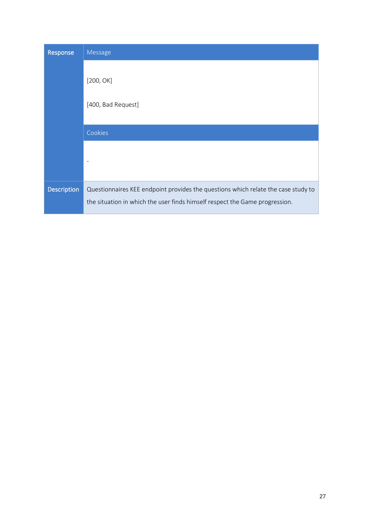| Response           | Message                                                                                                                                                          |  |  |
|--------------------|------------------------------------------------------------------------------------------------------------------------------------------------------------------|--|--|
|                    | [200, OK]<br>[400, Bad Request]                                                                                                                                  |  |  |
|                    | Cookies                                                                                                                                                          |  |  |
|                    |                                                                                                                                                                  |  |  |
| <b>Description</b> | Questionnaires KEE endpoint provides the questions which relate the case study to<br>the situation in which the user finds himself respect the Game progression. |  |  |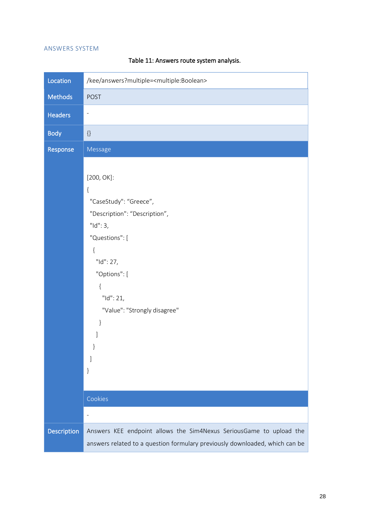#### ANSWERS SYSTEM

| Location           | /kee/answers?multiple= <multiple:boolean></multiple:boolean>                                                                                                                                                                                                  |  |
|--------------------|---------------------------------------------------------------------------------------------------------------------------------------------------------------------------------------------------------------------------------------------------------------|--|
| Methods            | <b>POST</b>                                                                                                                                                                                                                                                   |  |
| <b>Headers</b>     | $\overline{\phantom{0}}$                                                                                                                                                                                                                                      |  |
| <b>Body</b>        | $\{\}$                                                                                                                                                                                                                                                        |  |
| Response           | Message                                                                                                                                                                                                                                                       |  |
|                    | $[200, OK]$ :<br>$\{$<br>"CaseStudy": "Greece",<br>"Description": "Description",<br>"Id":3,<br>"Questions": [<br>{<br>"Id": 27,<br>"Options": [<br>$\{$<br>"Id": 21,<br>"Value": "Strongly disagree"<br>}<br>1<br>$\}$<br>Cookies<br>$\overline{\phantom{0}}$ |  |
| <b>Description</b> | Answers KEE endpoint allows the Sim4Nexus SeriousGame to upload the<br>answers related to a question formulary previously downloaded, which can be                                                                                                            |  |

### Table 11: Answers route system analysis.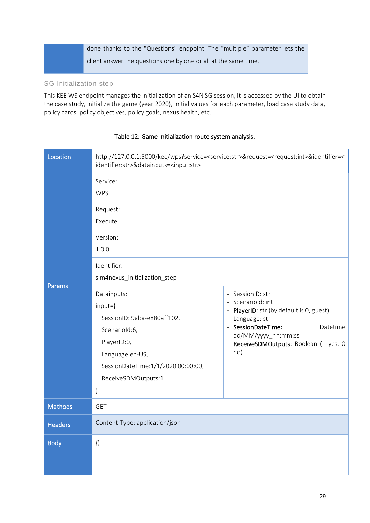done thanks to the "Questions" endpoint. The "multiple" parameter lets the client answer the questions one by one or all at the same time.

#### SG Initialization step

This KEE WS endpoint manages the initialization of an S4N SG session, it is accessed by the UI to obtain the case study, initialize the game (year 2020), initial values for each parameter, load case study data, policy cards, policy objectives, policy goals, nexus health, etc.

| Location       | http://127.0.0.1:5000/kee/wps?service= <service:str>&amp;request=<request:int>&amp;identifier=&lt;<br/>identifier:str&gt;&amp;datainputs=<input:str></input:str></request:int></service:str>                                                                                                         |                                                                                                                                                                                                                |
|----------------|------------------------------------------------------------------------------------------------------------------------------------------------------------------------------------------------------------------------------------------------------------------------------------------------------|----------------------------------------------------------------------------------------------------------------------------------------------------------------------------------------------------------------|
| Params         | Service:<br><b>WPS</b><br>Request:<br>Execute<br>Version:<br>1.0.0<br>Identifier:<br>sim4nexus_initialization_step<br>Datainputs:<br>input={<br>SessionID: 9aba-e880aff102,<br>Scenariold:6,<br>PlayerID:0,<br>Language:en-US,<br>SessionDateTime: 1/1/2020 00:00:00,<br>ReceiveSDMOutputs:1<br>$\}$ | - SessionID: str<br>- Scenariold: int<br>- PlayerID: str (by default is 0, guest)<br>- Language: str<br>- SessionDateTime:<br>Datetime<br>dd/MM/yyyy_hh:mm:ss<br>- ReceiveSDMOutputs: Boolean (1 yes, 0<br>no) |
| <b>Methods</b> | <b>GET</b>                                                                                                                                                                                                                                                                                           |                                                                                                                                                                                                                |
| <b>Headers</b> | Content-Type: application/json                                                                                                                                                                                                                                                                       |                                                                                                                                                                                                                |
| <b>Body</b>    | $\{\}$                                                                                                                                                                                                                                                                                               |                                                                                                                                                                                                                |

#### Table 12: Game Initialization route system analysis.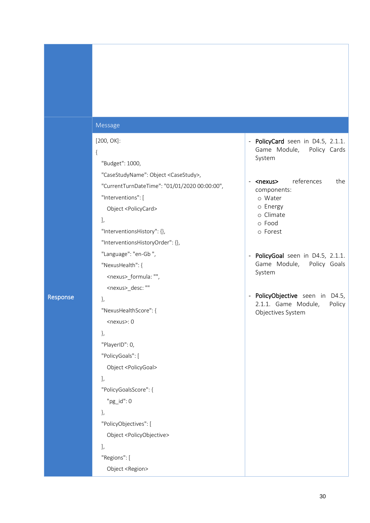#### Message

#### [200, OK]:

#### {

"Budget": 1000,

"CaseStudyName": Object <CaseStudy>,

"CurrentTurnDateTime": "01/01/2020 00:00:00",

"Interventions": [

Object <PolicyCard>

#### ],

"InterventionsHistory": {},

"InterventionsHistoryOrder": {},

"Language": "en-Gb ",

"NexusHealth": {

<nexus>\_formula: "",

<nexus>\_desc: ""

#### Response

 "NexusHealthScore": { <nexus>: 0

#### },

},

 "PlayerID": 0, "PolicyGoals": [

#### ],

"PolicyGoalsScore": {

Object <PolicyGoal>

"pg\_id": 0

},

"PolicyObjectives": [

Object <PolicyObjective>

#### ],

 "Regions": [ Object <Region>

- PolicyCard seen in D4.5, 2.1.1. Game Module, Policy Cards System
- <nexus> references the components:
	- o Water
	- o Energy
	- o Climate
	- o Food
	- o Forest
- PolicyGoal seen in D4.5, 2.1.1. Game Module, Policy Goals System
- PolicyObjective seen in D4.5, 2.1.1. Game Module, Policy Objectives System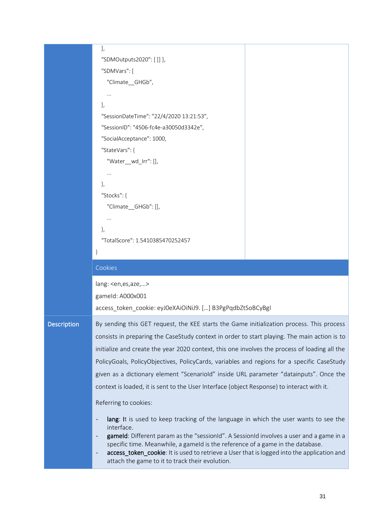|                    | J,<br>"SDMOutputs2020": [[]],<br>"SDMVars": [<br>"Climate_GHGb",<br>$\mathbf{J}$<br>"SessionDateTime": "22/4/2020 13:21:53",<br>"SessionID": "4506-fc4e-a30050d3342e",<br>"SocialAcceptance": 1000,<br>"StateVars": {<br>"Water_wd_Irr": [],<br>},<br>"Stocks": {<br>"Climate_GHGb": [],<br>},<br>"TotalScore": 1.5410385470252457<br>}                                                                                                                                                                                                                                                                   |  |  |
|--------------------|-----------------------------------------------------------------------------------------------------------------------------------------------------------------------------------------------------------------------------------------------------------------------------------------------------------------------------------------------------------------------------------------------------------------------------------------------------------------------------------------------------------------------------------------------------------------------------------------------------------|--|--|
|                    | Cookies                                                                                                                                                                                                                                                                                                                                                                                                                                                                                                                                                                                                   |  |  |
|                    | lang: <en, aze,="" es,=""><br/>gameld: A000x001<br/>access_token_cookie: eyJ0eXAiOiNiJ9. [] B3PgPqdbZtSoBCyBgI</en,>                                                                                                                                                                                                                                                                                                                                                                                                                                                                                      |  |  |
| <b>Description</b> | By sending this GET request, the KEE starts the Game initialization process. This process<br>consists in preparing the CaseStudy context in order to start playing. The main action is to<br>initialize and create the year 2020 context, this one involves the process of loading all the<br>PolicyGoals, PolicyObjectives, PolicyCards, variables and regions for a specific CaseStudy<br>given as a dictionary element "Scenariold" inside URL parameter "datainputs". Once the<br>context is loaded, it is sent to the User Interface (object Response) to interact with it.<br>Referring to cookies: |  |  |
|                    | lang: It is used to keep tracking of the language in which the user wants to see the<br>interface.<br>gameld: Different param as the "sessionId". A SessionId involves a user and a game in a<br>specific time. Meanwhile, a gameld is the reference of a game in the database.<br>access_token_cookie: It is used to retrieve a User that is logged into the application and<br>$\overline{\phantom{a}}$<br>attach the game to it to track their evolution.                                                                                                                                              |  |  |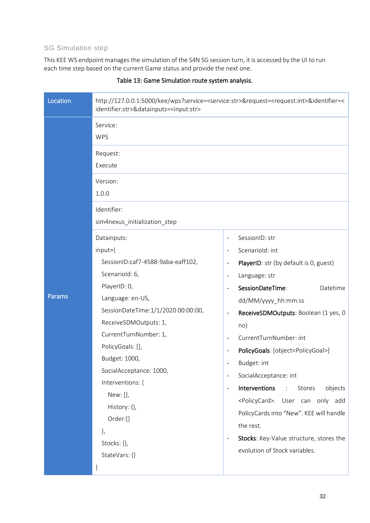### SG Simulation step

This KEE WS endpoint manages the simulation of the S4N SG session turn, it is accessed by the UI to run each time step based on the current Game status and provide the next one.

| Location | http://127.0.0.1:5000/kee/wps?service= <service:str>&amp;request=<request:int>&amp;identifier=&lt;<br/>identifier:str&gt;&amp;datainputs=<input:str></input:str></request:int></service:str>                                                                                                                                                                                                                                                                |                                                                                                                                                                                                                                                                                                                                                                                                                                                                                                                                                                                                                                                                   |  |
|----------|-------------------------------------------------------------------------------------------------------------------------------------------------------------------------------------------------------------------------------------------------------------------------------------------------------------------------------------------------------------------------------------------------------------------------------------------------------------|-------------------------------------------------------------------------------------------------------------------------------------------------------------------------------------------------------------------------------------------------------------------------------------------------------------------------------------------------------------------------------------------------------------------------------------------------------------------------------------------------------------------------------------------------------------------------------------------------------------------------------------------------------------------|--|
| Params   | Service:<br><b>WPS</b><br>Request:<br>Execute<br>Version:<br>1.0.0<br>Identifier:<br>sim4nexus_initialization_step<br>Datainputs:<br>input={<br>SessionID:caf7-4588-9aba-eaff102,<br>Scenariold: 6,<br>PlayerID: 0,<br>Language: en-US,<br>SessionDateTime:1/1/2020 00:00:00,<br>ReceiveSDMOutputs: 1,<br>CurrentTurnNumber: 1,<br>PolicyGoals: [],<br>Budget: 1000,<br>SocialAcceptance: 1000,<br>Interventions: {<br>New: [],<br>History: {},<br>Order:[] | SessionID: str<br>Scenariold: int<br>PlayerID: str (by default is 0, guest)<br>$\overline{\phantom{a}}$<br>Language: str<br>SessionDateTime:<br>Datetime<br>dd/MM/yyyy_hh:mm:ss<br>ReceiveSDMOutputs: Boolean (1 yes, 0<br>$\overline{\phantom{a}}$<br>no)<br>CurrentTurnNumber: int<br>PolicyGoals: [object <policygoal>]<br/><math display="inline">\overline{\phantom{a}}</math><br/>Budget: int<br/>SocialAcceptance: int<br/>Interventions<br/>Stores<br/>objects<br/><math>\pm</math><br/><math display="block">\qquad \qquad \blacksquare</math><br/><policycard>. User can only add<br/>PolicyCards into "New". KEE will handle</policycard></policygoal> |  |
|          | },<br>Stocks: {},<br>StateVars: {}                                                                                                                                                                                                                                                                                                                                                                                                                          | the rest.<br>Stocks: Key-Value structure, stores the<br>$\overline{\phantom{a}}$<br>evolution of Stock variables.                                                                                                                                                                                                                                                                                                                                                                                                                                                                                                                                                 |  |

#### Table 13: Game Simulation route system analysis.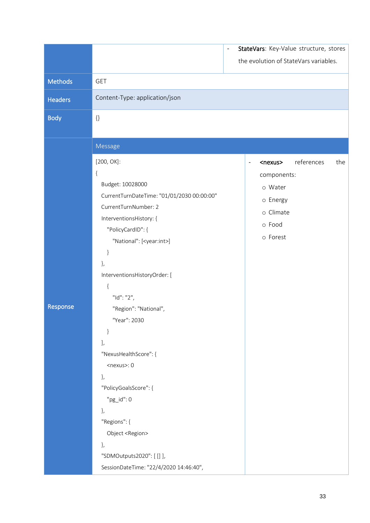|                |                                                                                                                                                                                                                                                                                                                                                                                                                                                                                                                              | $\overline{a}$ |                          |                                                                                                | StateVars: Key-Value structure, stores |     |
|----------------|------------------------------------------------------------------------------------------------------------------------------------------------------------------------------------------------------------------------------------------------------------------------------------------------------------------------------------------------------------------------------------------------------------------------------------------------------------------------------------------------------------------------------|----------------|--------------------------|------------------------------------------------------------------------------------------------|----------------------------------------|-----|
|                |                                                                                                                                                                                                                                                                                                                                                                                                                                                                                                                              |                |                          |                                                                                                | the evolution of StateVars variables.  |     |
| <b>Methods</b> | <b>GET</b>                                                                                                                                                                                                                                                                                                                                                                                                                                                                                                                   |                |                          |                                                                                                |                                        |     |
| Headers        | Content-Type: application/json                                                                                                                                                                                                                                                                                                                                                                                                                                                                                               |                |                          |                                                                                                |                                        |     |
| <b>Body</b>    | $\{\}$                                                                                                                                                                                                                                                                                                                                                                                                                                                                                                                       |                |                          |                                                                                                |                                        |     |
|                |                                                                                                                                                                                                                                                                                                                                                                                                                                                                                                                              |                |                          |                                                                                                |                                        |     |
| Response       | Message<br>$[200, OK]$ :<br>$\{$<br>Budget: 10028000<br>CurrentTurnDateTime: "01/01/2030 00:00:00"<br>CurrentTurnNumber: 2<br>InterventionsHistory: {<br>"PolicyCardID": {<br>"National": [ <year:int>]<br/><math>\}</math><br/>},<br/>InterventionsHistoryOrder: [<br/><math>\{</math><br/>"Id": "2",<br/>"Region": "National",<br/>"Year": 2030<br/><math>\}</math><br/>J,<br/>"NexusHealthScore": {<br/><math>&lt;</math>nexus<math>&gt;</math>: 0<br/>},<br/>"PolicyGoalsScore": {<br/><math>"pg_id":0</math></year:int> |                | $\overline{\phantom{a}}$ | <nexus><br/>components:<br/>o Water<br/>o Energy<br/>o Climate<br/>o Food<br/>o Forest</nexus> | references                             | the |
|                | },<br>"Regions": {<br>Object <region><br/>},<br/>"SDMOutputs2020": [ [] ],<br/>SessionDateTime: "22/4/2020 14:46:40",</region>                                                                                                                                                                                                                                                                                                                                                                                               |                |                          |                                                                                                |                                        |     |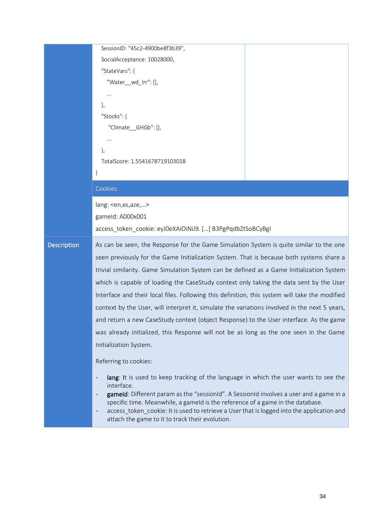|                    | SessionID: "45c2-4900be8f3b39",                                                                                                               |  |
|--------------------|-----------------------------------------------------------------------------------------------------------------------------------------------|--|
|                    | SocialAcceptance: 10028000,                                                                                                                   |  |
|                    | "StateVars": {                                                                                                                                |  |
|                    | "Water_wd_Irr": [],                                                                                                                           |  |
|                    |                                                                                                                                               |  |
|                    | ₿,                                                                                                                                            |  |
|                    | "Stocks": {                                                                                                                                   |  |
|                    | "Climate_GHGb": [],                                                                                                                           |  |
|                    |                                                                                                                                               |  |
|                    | ₿,                                                                                                                                            |  |
|                    | TotalScore: 1.5541678719103018                                                                                                                |  |
|                    | }                                                                                                                                             |  |
|                    | Cookies                                                                                                                                       |  |
|                    | lang: <en,es,aze,></en,es,aze,>                                                                                                               |  |
|                    | gameld: A000x001                                                                                                                              |  |
|                    | access_token_cookie: eyJ0eXAiOiNiJ9. [] B3PgPqdbZtSoBCyBgI                                                                                    |  |
|                    |                                                                                                                                               |  |
|                    |                                                                                                                                               |  |
| <b>Description</b> | As can be seen, the Response for the Game Simulation System is quite similar to the one                                                       |  |
|                    | seen previously for the Game Initialization System. That is because both systems share a                                                      |  |
|                    | trivial similarity. Game Simulation System can be defined as a Game Initialization System                                                     |  |
|                    | which is capable of loading the CaseStudy context only taking the data sent by the User                                                       |  |
|                    | Interface and their local files. Following this definition, this system will take the modified                                                |  |
|                    | context by the User, will interpret it, simulate the variations involved in the next 5 years,                                                 |  |
|                    | and return a new CaseStudy context (object Response) to the User interface. As the game                                                       |  |
|                    | was already initialized, this Response will not be as long as the one seen in the Game                                                        |  |
|                    | Initialization System.                                                                                                                        |  |
|                    | Referring to cookies:                                                                                                                         |  |
|                    | $\qquad \qquad \blacksquare$                                                                                                                  |  |
|                    | lang: It is used to keep tracking of the language in which the user wants to see the<br>interface.                                            |  |
|                    | gameld: Different param as the "sessionId". A SessionId involves a user and a game in a<br>$\overline{\phantom{a}}$                           |  |
|                    | specific time. Meanwhile, a gameld is the reference of a game in the database.<br>$\overline{\phantom{0}}$                                    |  |
|                    | access_token_cookie: It is used to retrieve a User that is logged into the application and<br>attach the game to it to track their evolution. |  |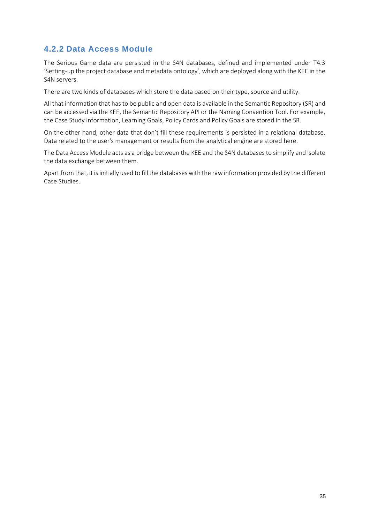### <span id="page-34-0"></span>**4.2.2 Data Access Module**

The Serious Game data are persisted in the S4N databases, defined and implemented under T4.3 'Setting-up the project database and metadata ontology', which are deployed along with the KEE in the S4N servers.

There are two kinds of databases which store the data based on their type, source and utility.

All that information that has to be public and open data is available in the Semantic Repository (SR) and can be accessed via the KEE, the Semantic Repository API or the Naming Convention Tool. For example, the Case Study information, Learning Goals, Policy Cards and Policy Goals are stored in the SR.

On the other hand, other data that don't fill these requirements is persisted in a relational database. Data related to the user's management or results from the analytical engine are stored here.

The Data Access Module acts as a bridge between the KEE and the S4N databases to simplify and isolate the data exchange between them.

Apart from that, it is initially used to fill the databases with the raw information provided by the different Case Studies.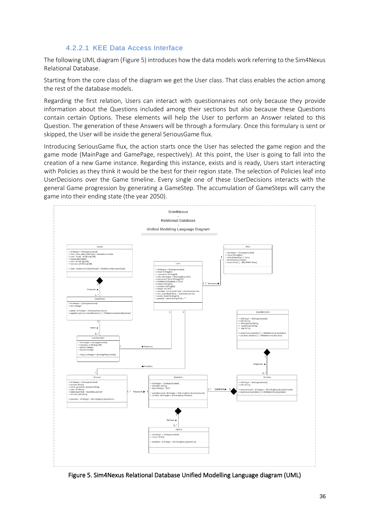#### 4.2.2.1 KEE Data Access Interface

The following UML diagram [\(Figure 5\)](#page-35-0) introduces how the data models work referring to the Sim4Nexus Relational Database.

Starting from the core class of the diagram we get the User class. That class enables the action among the rest of the database models.

Regarding the first relation, Users can interact with questionnaires not only because they provide information about the Questions included among their sections but also because these Questions contain certain Options. These elements will help the User to perform an Answer related to this Question. The generation of these Answers will be through a formulary. Once this formulary is sent or skipped, the User will be inside the general SeriousGame flux.

Introducing SeriousGame flux, the action starts once the User has selected the game region and the game mode (MainPage and GamePage, respectively). At this point, the User is going to fall into the creation of a new Game instance. Regarding this instance, exists and is ready, Users start interacting with Policies as they think it would be the best for their region state. The selection of Policies leaf into UserDecisions over the Game timeline. Every single one of these UserDecisions interacts with the general Game progression by generating a GameStep. The accumulation of GameSteps will carry the game into their ending state (the year 2050).



<span id="page-35-0"></span>Figure 5. Sim4Nexus Relational Database Unified Modelling Language diagram (UML)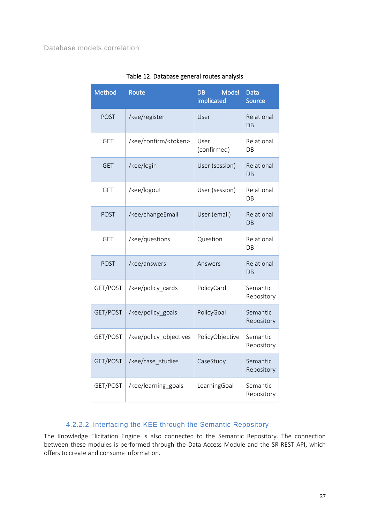| <b>Method</b> | Route                         | <b>Model</b><br><b>DB</b><br>implicated | <b>Data</b><br><b>Source</b>  |
|---------------|-------------------------------|-----------------------------------------|-------------------------------|
| <b>POST</b>   | /kee/register                 | User                                    | Relational<br><b>DB</b>       |
| <b>GET</b>    | /kee/confirm/ <token></token> | User<br>(confirmed)                     | Relational<br>DB              |
| <b>GET</b>    | /kee/login                    | User (session)                          | Relational<br>$\overline{DB}$ |
| <b>GET</b>    | /kee/logout                   | User (session)                          | Relational<br>DB.             |
| <b>POST</b>   | /kee/changeEmail              | User (email)                            | Relational<br><b>DB</b>       |
| <b>GET</b>    | /kee/questions                | Question                                | Relational<br>DB              |
| <b>POST</b>   | /kee/answers                  | Answers                                 | Relational<br>DB              |
| GET/POST      | /kee/policy cards             | PolicyCard                              | Semantic<br>Repository        |
| GET/POST      | /kee/policy_goals             | PolicyGoal                              | Semantic<br>Repository        |
| GET/POST      | /kee/policy_objectives        | PolicyObjective                         | Semantic<br>Repository        |
| GET/POST      | /kee/case_studies             | CaseStudy                               | Semantic<br>Repository        |
| GET/POST      | /kee/learning_goals           | LearningGoal                            | Semantic<br>Repository        |

### Table 12. Database general routes analysis

### 4.2.2.2 Interfacing the KEE through the Semantic Repository

The Knowledge Elicitation Engine is also connected to the Semantic Repository. The connection between these modules is performed through the Data Access Module and the SR REST API, which offers to create and consume information.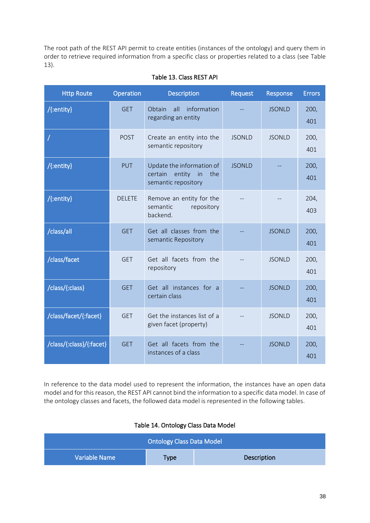The root path of the REST API permit to create entities (instances of the ontology) and query them in order to retrieve required information from a specific class or properties related to a class (see [Table](#page-37-0)  [13\)](#page-37-0).

<span id="page-37-0"></span>

| <b>Http Route</b>        | <b>Operation</b> | <b>Description</b>                                                                 | Request       | Response      | <b>Errors</b> |
|--------------------------|------------------|------------------------------------------------------------------------------------|---------------|---------------|---------------|
| /{:entity}               | <b>GET</b>       | all<br>information<br>Obtain<br>regarding an entity                                |               | <b>JSONLD</b> | 200,<br>401   |
|                          | <b>POST</b>      | Create an entity into the<br>semantic repository                                   | <b>JSONLD</b> | <b>JSONLD</b> | 200,<br>401   |
| /{:entity}               | PUT              | Update the information of<br>certain<br>entity<br>in<br>the<br>semantic repository | <b>JSONLD</b> |               | 200,<br>401   |
| /{:entity}               | <b>DELETE</b>    | Remove an entity for the<br>semantic<br>repository<br>backend.                     |               |               | 204,<br>403   |
| /class/all               | <b>GET</b>       | Get all classes from the<br>semantic Repository                                    |               | <b>JSONLD</b> | 200,<br>401   |
| /class/facet             | <b>GET</b>       | Get all facets from the<br>repository                                              |               | <b>JSONLD</b> | 200,<br>401   |
| /class/{:class}          | <b>GET</b>       | Get all instances for a<br>certain class                                           |               | <b>JSONLD</b> | 200,<br>401   |
| /class/facet/{:facet}    | <b>GET</b>       | Get the instances list of a<br>given facet (property)                              |               | <b>JSONLD</b> | 200,<br>401   |
| /class/{:class}/{:facet} | <b>GET</b>       | Get all facets from the<br>instances of a class                                    |               | <b>JSONLD</b> | 200,<br>401   |

### Table 13. Class REST API

In reference to the data model used to represent the information, the instances have an open data model and for this reason, the REST API cannot bind the information to a specific data model. In case of the ontology classes and facets, the followed data model is represented in the following tables.

#### Table 14. Ontology Class Data Model

| <b>Ontology Class Data Model</b>            |  |  |  |  |
|---------------------------------------------|--|--|--|--|
| Variable Name<br>Description<br><b>Type</b> |  |  |  |  |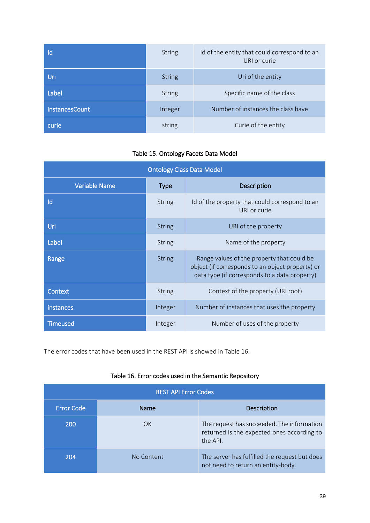| Id             | <b>String</b> | Id of the entity that could correspond to an<br>URI or curie |
|----------------|---------------|--------------------------------------------------------------|
| Uri            | <b>String</b> | Uri of the entity                                            |
| Label          | <b>String</b> | Specific name of the class                                   |
| instancesCount | Integer       | Number of instances the class have                           |
| curie          | string        | Curie of the entity                                          |

### Table 15. Ontology Facets Data Model

| <b>Ontology Class Data Model</b> |               |                                                                                                                                                 |  |
|----------------------------------|---------------|-------------------------------------------------------------------------------------------------------------------------------------------------|--|
| <b>Variable Name</b>             | <b>Type</b>   | Description                                                                                                                                     |  |
| Id                               | <b>String</b> | Id of the property that could correspond to an<br>URI or curie                                                                                  |  |
| Uri                              | <b>String</b> | URI of the property                                                                                                                             |  |
| Label                            | <b>String</b> | Name of the property                                                                                                                            |  |
| Range                            | <b>String</b> | Range values of the property that could be<br>object (if corresponds to an object property) or<br>data type (if corresponds to a data property) |  |
| Context                          | <b>String</b> | Context of the property (URI root)                                                                                                              |  |
| instances                        | Integer       | Number of instances that uses the property                                                                                                      |  |
| <b>Timeused</b>                  | Integer       | Number of uses of the property                                                                                                                  |  |

The error codes that have been used in the REST API is showed in [Table 16.](#page-38-0)

|  |  |  |  |  | Table 16. Error codes used in the Semantic Repository |
|--|--|--|--|--|-------------------------------------------------------|
|--|--|--|--|--|-------------------------------------------------------|

<span id="page-38-0"></span>

| <b>REST API Error Codes</b> |            |                                                                                                      |  |  |
|-----------------------------|------------|------------------------------------------------------------------------------------------------------|--|--|
| <b>Error Code</b>           | Name       | <b>Description</b>                                                                                   |  |  |
| 200                         | OK         | The request has succeeded. The information<br>returned is the expected ones according to<br>the API. |  |  |
| 204                         | No Content | The server has fulfilled the request but does<br>not need to return an entity-body.                  |  |  |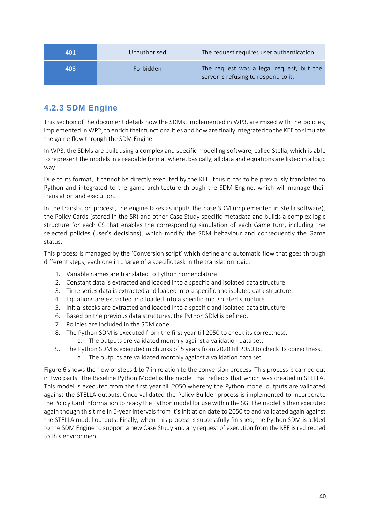| 401 | Unauthorised | The request requires user authentication.                                        |
|-----|--------------|----------------------------------------------------------------------------------|
| 403 | Forbidden    | The request was a legal request, but the<br>server is refusing to respond to it. |

## <span id="page-39-0"></span>**4.2.3 SDM Engine**

This section of the document details how the SDMs, implemented in WP3, are mixed with the policies, implemented in WP2, to enrich their functionalities and how are finally integrated to the KEE to simulate the game flow through the SDM Engine.

In WP3, the SDMs are built using a complex and specific modelling software, called Stella, which is able to represent the models in a readable format where, basically, all data and equations are listed in a logic way.

Due to its format, it cannot be directly executed by the KEE, thus it has to be previously translated to Python and integrated to the game architecture through the SDM Engine, which will manage their translation and execution.

In the translation process, the engine takes as inputs the base SDM (implemented in Stella software), the Policy Cards (stored in the SR) and other Case Study specific metadata and builds a complex logic structure for each CS that enables the corresponding simulation of each Game turn, including the selected policies (user's decisions), which modify the SDM behaviour and consequently the Game status.

This process is managed by the 'Conversion script' which define and automatic flow that goes through different steps, each one in charge of a specific task in the translation logic:

- 1. Variable names are translated to Python nomenclature.
- 2. Constant data is extracted and loaded into a specific and isolated data structure.
- 3. Time series data is extracted and loaded into a specific and isolated data structure.
- 4. Equations are extracted and loaded into a specific and isolated structure.
- 5. Initial stocks are extracted and loaded into a specific and isolated data structure.
- 6. Based on the previous data structures, the Python SDM is defined.
- 7. Policies are included in the SDM code.
- 8. The Python SDM is executed from the first year till 2050 to check its correctness.
	- a. The outputs are validated monthly against a validation data set.
- 9. The Python SDM is executed in chunks of 5 years from 2020 till 2050 to check its correctness. a. The outputs are validated monthly against a validation data set.

[Figure 6](#page-40-0) shows the flow of steps 1 to 7 in relation to the conversion process. This process is carried out in two parts. The Baseline Python Model is the model that reflects that which was created in STELLA. This model is executed from the first year till 2050 whereby the Python model outputs are validated against the STELLA outputs. Once validated the Policy Builder process is implemented to incorporate the Policy Card information to ready the Python model for use within the SG. The model is then executed again though this time in 5-year intervals from it's initiation date to 2050 to and validated again against the STELLA model outputs. Finally, when this process is successfully finished, the Python SDM is added to the SDM Engine to support a new Case Study and any request of execution from the KEE is redirected to this environment.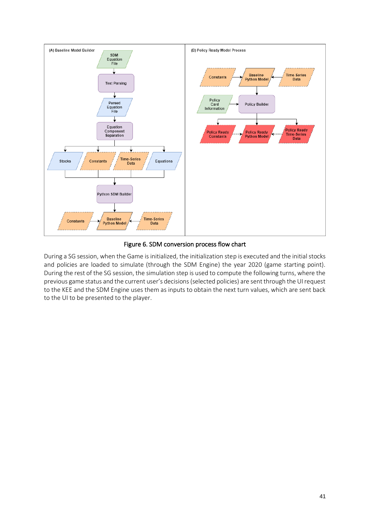

#### Figure 6. SDM conversion process flow chart

<span id="page-40-0"></span>During a SG session, when the Game is initialized, the initialization step is executed and the initial stocks and policies are loaded to simulate (through the SDM Engine) the year 2020 (game starting point). During the rest of the SG session, the simulation step is used to compute the following turns, where the previous game status and the current user's decisions (selected policies) are sent through the UI request to the KEE and the SDM Engine uses them as inputs to obtain the next turn values, which are sent back to the UI to be presented to the player.